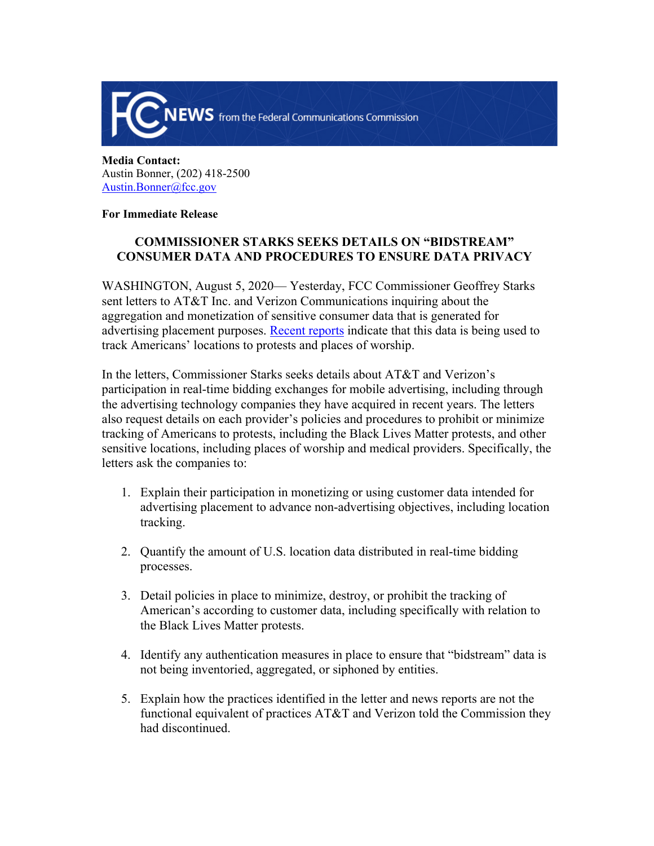

**Media Contact:**  Austin Bonner, (202) 418-2500 [Austin.Bonner@fcc.gov](mailto:Austin.Bonner@fcc.gov)

## **For Immediate Release**

## **COMMISSIONER STARKS SEEKS DETAILS ON "BIDSTREAM" CONSUMER DATA AND PROCEDURES TO ENSURE DATA PRIVACY**

WASHINGTON, August 5, 2020— Yesterday, FCC Commissioner Geoffrey Starks sent letters to AT&T Inc. and Verizon Communications inquiring about the aggregation and monetization of sensitive consumer data that is generated for advertising placement purposes. [Recent reports](https://www.wsj.com/articles/lawmakers-urge-ftc-probe-of-mobile-ad-industrys-tracking-of-consumers-11596214541) indicate that this data is being used to track Americans' locations to protests and places of worship.

In the letters, Commissioner Starks seeks details about AT&T and Verizon's participation in real-time bidding exchanges for mobile advertising, including through the advertising technology companies they have acquired in recent years. The letters also request details on each provider's policies and procedures to prohibit or minimize tracking of Americans to protests, including the Black Lives Matter protests, and other sensitive locations, including places of worship and medical providers. Specifically, the letters ask the companies to:

- 1. Explain their participation in monetizing or using customer data intended for advertising placement to advance non-advertising objectives, including location tracking.
- 2. Quantify the amount of U.S. location data distributed in real-time bidding processes.
- 3. Detail policies in place to minimize, destroy, or prohibit the tracking of American's according to customer data, including specifically with relation to the Black Lives Matter protests.
- 4. Identify any authentication measures in place to ensure that "bidstream" data is not being inventoried, aggregated, or siphoned by entities.
- 5. Explain how the practices identified in the letter and news reports are not the functional equivalent of practices AT&T and Verizon told the Commission they had discontinued.